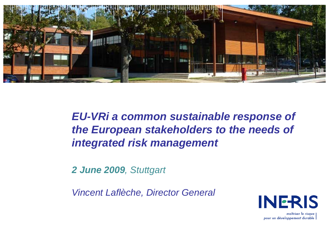

*EU-VRi <sup>a</sup> common sustainable response of the European stakeholders to the needs of integrated risk management risk*

*2 June 2009, Stuttgart*

*Vincent Laflèche, Director General*



maîtriser le risque pour un développement durable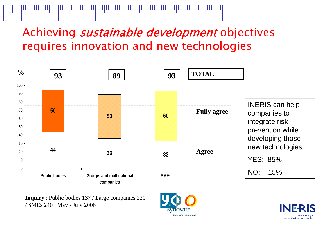## Achieving *sustainable development* objectives requires innovation and new technologies



**Inquiry**: Public bodies 137 / Large companies 220 / SMEs 240 May - July 2006



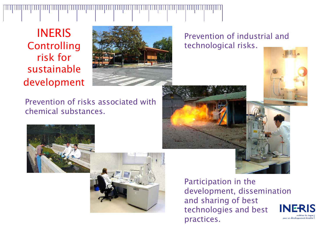1111 | 1111 | 1111 | 1111 | 1111 | 1111 | 1111 | 1111 | 1111 | 1111 | 1111

INERISControlling risk forsustainable development



Prevention of industrial and technological risks.

Prevention of risks associated with chemical substances.









Participation in the development, dissemination and sharing of best **NF-RIS** technologies and best practices.pour un développement durabl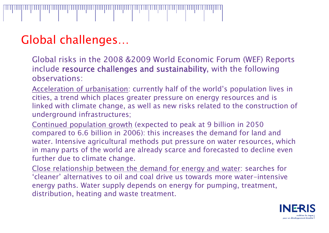## Global challenges…

Global risks in the 2008 &2009 World Economic Forum (WEF) Reports include resource challenges and sustainability, with the following observations:

<u>Acceleration of urbanisation</u>: currently half of the world's population lives in cities, a trend which places greater pressure on energy resources and is linked with climate change, as well as new risks related to the construction of underground infrastructures;

Continued population growth (expected to peak at 9 billion in 2050 compared to 6.6 billion in 2006): this increases the demand for land and water. Intensive agricultural methods put pressure on water resources, which in many parts of the world are already scarce and forecasted to decline even further due to climate change.

Close relationship between the demand for energy and water: searches for 'cleaner' alternatives to oil and coal drive us towards more water-intensive energy paths. Water supply depends on energy for pumping, treatment, distribution, heating and waste treatment.

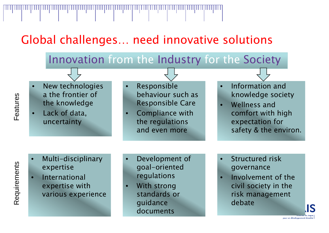Global challenges… need innovative solutions

•

11 | 11 | 11 | 11 | 11 | 11 | 11 | 11 | 11 | 11 | 11 | 11 | 11 | 11 | 11 | 11 | 11 | 11 | 11 | 11 | 11 | 11 | 11 | 11 | 11 | 11

## Innovation from the Industry for the Society

- • New technologies a the frontier of the knowledge
- • Lack of data, uncertainty
- Responsible behaviour such as Responsible Care
- •we comfort with him is a compliance with the comfort with hi the regulations and even more
- • Information andknowledge society
- • Wellness and g h expectation for safety & the environ.

- • Multi-disciplinary expertise
- • International expertise with various experience
- • Development of goal-oriented regulations
- • With strong standards or guidance documents
- • Structured riskgovernance
- • Involvement of the civil society in the risk management debate

pour un développement durable